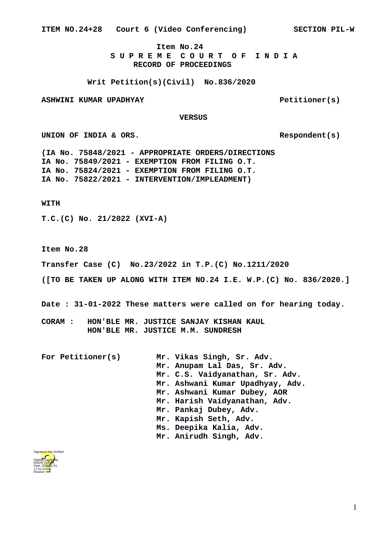**ITEM NO.24+28 Court 6 (Video Conferencing) SECTION PIL-W**

**Item No.24 S U P R E M E C O U R T O F I N D I A RECORD OF PROCEEDINGS**

**Writ Petition(s)(Civil) No.836/2020**

ASHWINI KUMAR UPADHYAY **Petitioner(s)** 

**VERSUS**

UNION OF INDIA & ORS.

**(IA No. 75848/2021 - APPROPRIATE ORDERS/DIRECTIONS IA No. 75849/2021 - EXEMPTION FROM FILING O.T. IA No. 75824/2021 - EXEMPTION FROM FILING O.T. IA No. 75822/2021 - INTERVENTION/IMPLEADMENT)**

**WITH**

**T.C.(C) No. 21/2022 (XVI-A)**

**Item No.28**

**Transfer Case (C) No.23/2022 in T.P.(C) No.1211/2020** 

**([TO BE TAKEN UP ALONG WITH ITEM NO.24 I.E. W.P.(C) No. 836/2020.]**

**Date : 31-01-2022 These matters were called on for hearing today.**

**CORAM : HON'BLE MR. JUSTICE SANJAY KISHAN KAUL HON'BLE MR. JUSTICE M.M. SUNDRESH**

**For Petitioner(s) Mr. Vikas Singh, Sr. Adv. Mr. Anupam Lal Das, Sr. Adv. Mr. C.S. Vaidyanathan, Sr. Adv. Mr. Ashwani Kumar Upadhyay, Adv. Mr. Ashwani Kumar Dubey, AOR Mr. Harish Vaidyanathan, Adv. Mr. Pankaj Dubey, Adv. Mr. Kapish Seth, Adv. Ms. Deepika Kalia, Adv. Mr. Anirudh Singh, Adv.**

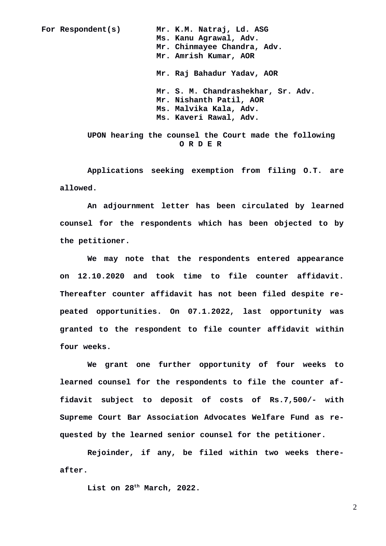**For Respondent(s) Mr. K.M. Natraj, Ld. ASG**

**Ms. Kanu Agrawal, Adv. Mr. Chinmayee Chandra, Adv. Mr. Amrish Kumar, AOR Mr. Raj Bahadur Yadav, AOR Mr. S. M. Chandrashekhar, Sr. Adv. Mr. Nishanth Patil, AOR Ms. Malvika Kala, Adv. Ms. Kaveri Rawal, Adv.**

**UPON hearing the counsel the Court made the following O R D E R**

**Applications seeking exemption from filing O.T. are allowed.**

**An adjournment letter has been circulated by learned counsel for the respondents which has been objected to by the petitioner.**

**We may note that the respondents entered appearance on 12.10.2020 and took time to file counter affidavit. Thereafter counter affidavit has not been filed despite repeated opportunities. On 07.1.2022, last opportunity was granted to the respondent to file counter affidavit within four weeks.** 

**We grant one further opportunity of four weeks to learned counsel for the respondents to file the counter affidavit subject to deposit of costs of Rs.7,500/- with Supreme Court Bar Association Advocates Welfare Fund as requested by the learned senior counsel for the petitioner.** 

**Rejoinder, if any, be filed within two weeks thereafter.**

**List on 28th March, 2022.**

2